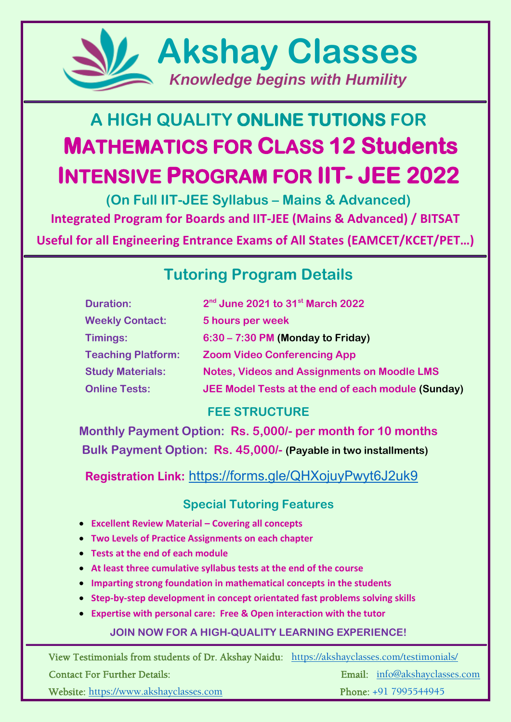

# **A HIGH QUALITY ONLINE TUTIONS FOR MATHEMATICS FOR CLASS 12 Students INTENSIVE PROGRAM FOR IIT- JEE 2022**

**(On Full IIT-JEE Syllabus – Mains & Advanced) Integrated Program for Boards and IIT-JEE (Mains & Advanced) / BITSAT**

**Useful for all Engineering Entrance Exams of All States (EAMCET/KCET/PET…)**

# **Tutoring Program Details**

| <b>Duration:</b>          | 2 <sup>nd</sup> June 2021 to 31 <sup>st</sup> March 2022 |
|---------------------------|----------------------------------------------------------|
| <b>Weekly Contact:</b>    | 5 hours per week                                         |
| Timings:                  | $6:30 - 7:30$ PM (Monday to Friday)                      |
| <b>Teaching Platform:</b> | <b>Zoom Video Conferencing App</b>                       |
| <b>Study Materials:</b>   | <b>Notes, Videos and Assignments on Moodle LMS</b>       |
| <b>Online Tests:</b>      | JEE Model Tests at the end of each module (Sunday)       |

# **FEE STRUCTURE**

**Monthly Payment Option: Rs. 5,000/- per month for 10 months Bulk Payment Option: Rs. 45,000/- (Payable in two installments)**

**Registration Link:** <https://forms.gle/QHXojuyPwyt6J2uk9>

# **Special Tutoring Features**

- **Excellent Review Material – Covering all concepts**
- **Two Levels of Practice Assignments on each chapter**
- **Tests at the end of each module**
- **At least three cumulative syllabus tests at the end of the course**
- **Imparting strong foundation in mathematical concepts in the students**
- **Step-by-step development in concept orientated fast problems solving skills**
- **Expertise with personal care: Free & Open interaction with the tutor**

## **JOIN NOW FOR A HIGH-QUALITY LEARNING EXPERIENCE!**

View Testimonials from students of Dr. Akshay Naidu: <https://akshayclasses.com/testimonials/>

j

Contact For Further Details: Email: [info@akshayclasses.com](mailto:info@akshayclasses.com)

Website: [https://www.akshayclasses.com](https://www.akshayclasses.com/) Phone: +91 7995544945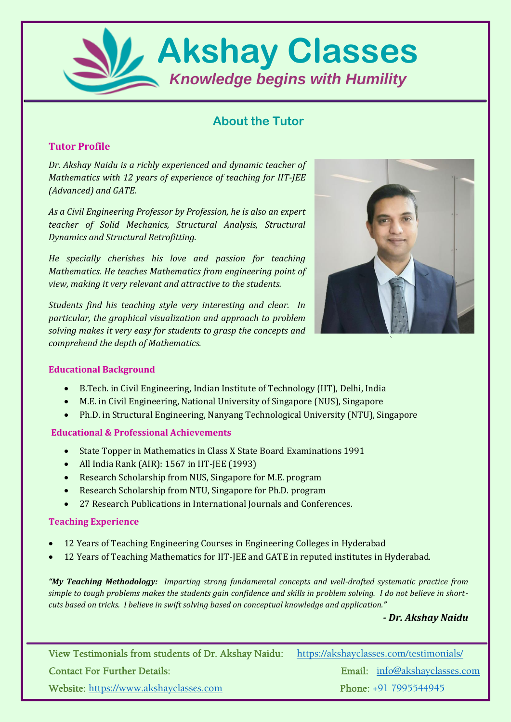

### **About the Tutor**

#### **Tutor Profile**

*Dr. Akshay Naidu is a richly experienced and dynamic teacher of Mathematics with 12 years of experience of teaching for IIT-JEE (Advanced) and GATE.* 

*As a Civil Engineering Professor by Profession, he is also an expert teacher of Solid Mechanics, Structural Analysis, Structural Dynamics and Structural Retrofitting.* 

*He specially cherishes his love and passion for teaching Mathematics. He teaches Mathematics from engineering point of view, making it very relevant and attractive to the students.*

*Students find his teaching style very interesting and clear. In particular, the graphical visualization and approach to problem solving makes it very easy for students to grasp the concepts and comprehend the depth of Mathematics.*



#### **Educational Background**

- B.Tech. in Civil Engineering, Indian Institute of Technology (IIT), Delhi, India
- M.E. in Civil Engineering, National University of Singapore (NUS), Singapore
- Ph.D. in Structural Engineering, Nanyang Technological University (NTU), Singapore

#### **Educational & Professional Achievements**

- State Topper in Mathematics in Class X State Board Examinations 1991
- All India Rank (AIR): 1567 in IIT-JEE (1993)
- Research Scholarship from NUS, Singapore for M.E. program
- Research Scholarship from NTU, Singapore for Ph.D. program
- 27 Research Publications in International Journals and Conferences.

#### **Teaching Experience**

- 12 Years of Teaching Engineering Courses in Engineering Colleges in Hyderabad
- 12 Years of Teaching Mathematics for IIT-JEE and GATE in reputed institutes in Hyderabad.

*"My Teaching Methodology: Imparting strong fundamental concepts and well-drafted systematic practice from simple to tough problems makes the students gain confidence and skills in problem solving. I do not believe in shortcuts based on tricks. I believe in swift solving based on conceptual knowledge and application."* 

#### *- Dr. Akshay Naidu*

View Testimonials from students of Dr. Akshay Naidu: <https://akshayclasses.com/testimonials/> Contact For Further Details: Email: [info@akshayclasses.com](mailto:info@akshayclasses.com) Website: [https://www.akshayclasses.com](https://www.akshayclasses.com/) Phone: +91 7995544945